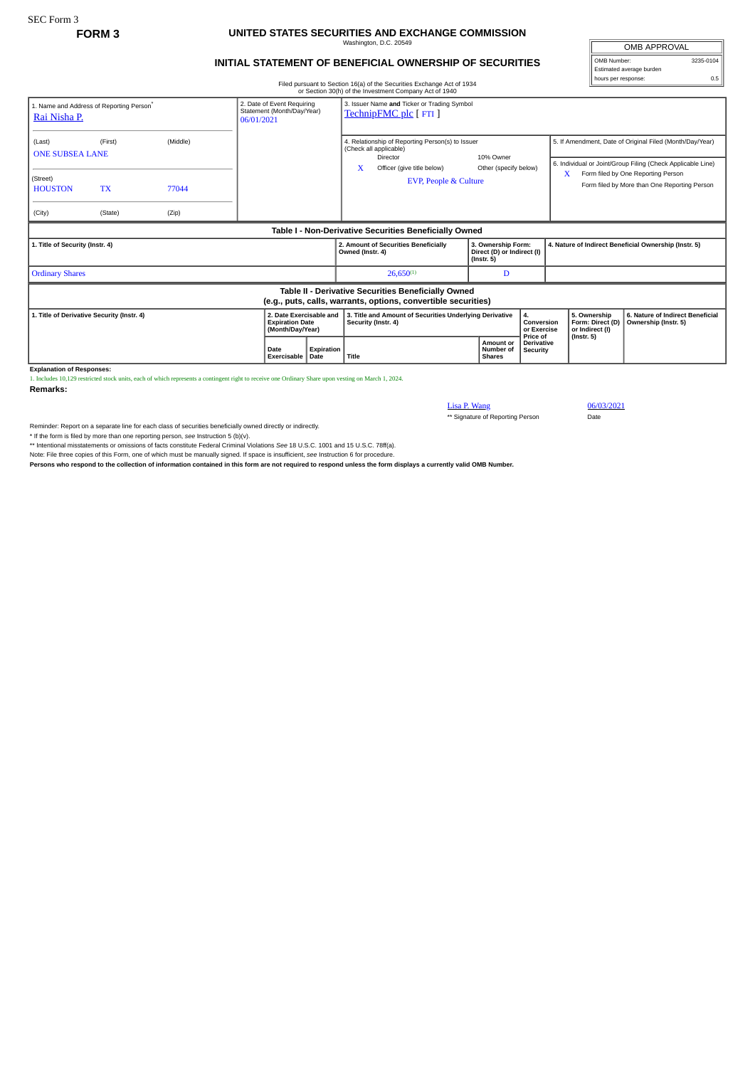## **FORM 3 UNITED STATES SECURITIES AND EXCHANGE COMMISSION** Washington, D.C. 20549

## **INITIAL STATEMENT OF BENEFICIAL OWNERSHIP OF SECURITIES**

Filed pursuant to Section 16(a) of the Securities Exchange Act of 1934 or Section 30(h) of the Investment Company Act of 1940

| or occasi over you are investment company at the 1940                                                                 |           |          |                                                                        |                    |                                                                                        |                                                                |                                                                      |                               |                                                                                                                         |                                                                                         |                                                          |  |
|-----------------------------------------------------------------------------------------------------------------------|-----------|----------|------------------------------------------------------------------------|--------------------|----------------------------------------------------------------------------------------|----------------------------------------------------------------|----------------------------------------------------------------------|-------------------------------|-------------------------------------------------------------------------------------------------------------------------|-----------------------------------------------------------------------------------------|----------------------------------------------------------|--|
| 1. Name and Address of Reporting Person®<br>Rai Nisha P.                                                              |           |          | 2. Date of Event Requiring<br>Statement (Month/Day/Year)<br>06/01/2021 |                    | 3. Issuer Name and Ticker or Trading Symbol<br>TechnipFMC plc [FTI]                    |                                                                |                                                                      |                               |                                                                                                                         |                                                                                         |                                                          |  |
| (Last)<br><b>ONE SUBSEA LANE</b>                                                                                      | (First)   | (Middle) |                                                                        |                    | 4. Relationship of Reporting Person(s) to Issuer<br>(Check all applicable)<br>Director |                                                                | 10% Owner                                                            |                               | 5. If Amendment, Date of Original Filed (Month/Day/Year)<br>6. Individual or Joint/Group Filing (Check Applicable Line) |                                                                                         |                                                          |  |
| (Street)<br><b>HOUSTON</b>                                                                                            | <b>TX</b> | 77044    |                                                                        |                    | X                                                                                      | Officer (give title below)<br><b>EVP, People &amp; Culture</b> | Other (specify below)                                                |                               |                                                                                                                         | Form filed by One Reporting Person<br>x<br>Form filed by More than One Reporting Person |                                                          |  |
| (City)                                                                                                                | (State)   | (Zip)    |                                                                        |                    |                                                                                        |                                                                |                                                                      |                               |                                                                                                                         |                                                                                         |                                                          |  |
| Table I - Non-Derivative Securities Beneficially Owned                                                                |           |          |                                                                        |                    |                                                                                        |                                                                |                                                                      |                               |                                                                                                                         |                                                                                         |                                                          |  |
| 1. Title of Security (Instr. 4)                                                                                       |           |          |                                                                        |                    | Owned (Instr. 4)                                                                       | 2. Amount of Securities Beneficially                           | 3. Ownership Form:<br>Direct (D) or Indirect (I)<br>$($ lnstr. 5 $)$ |                               | 4. Nature of Indirect Beneficial Ownership (Instr. 5)                                                                   |                                                                                         |                                                          |  |
| <b>Ordinary Shares</b>                                                                                                |           |          |                                                                        |                    |                                                                                        | $26,650^{(1)}$                                                 | D                                                                    |                               |                                                                                                                         |                                                                                         |                                                          |  |
| Table II - Derivative Securities Beneficially Owned<br>(e.g., puts, calls, warrants, options, convertible securities) |           |          |                                                                        |                    |                                                                                        |                                                                |                                                                      |                               |                                                                                                                         |                                                                                         |                                                          |  |
| 2. Date Exercisable and<br>1. Title of Derivative Security (Instr. 4)<br><b>Expiration Date</b><br>(Month/Day/Year)   |           |          |                                                                        |                    | 3. Title and Amount of Securities Underlying Derivative<br>4.<br>Security (Instr. 4)   |                                                                |                                                                      | Conversion<br>or Exercise     | 5. Ownership<br>Form: Direct (D)<br>or Indirect (I)                                                                     |                                                                                         | 6. Nature of Indirect Beneficial<br>Ownership (Instr. 5) |  |
| Evalopation of Decononces                                                                                             |           |          | Date<br>Exercisable                                                    | Expiration<br>Date | Title                                                                                  |                                                                | Shares                                                               | <b>Amount or</b><br>Number of | Price of<br><b>Derivative</b><br><b>Security</b>                                                                        |                                                                                         | $($ Instr. 5 $)$                                         |  |

**Explanation of Responses:**

1. Includes 10,129 restricted stock units, each of which represents a contingent right to receive one Ordinary Share upon vesting on March 1, 2024.

**Remarks:**

Lisa P. Wang<br>
\*\* Signature of Reporting Person<br>
Date<br>
Date \*\* Signature of Reporting Person

Reminder: Report on a separate line for each class of securities beneficially owned directly or indirectly.

\* If the form is filed by more than one reporting person, see Instruction 5 (b)(v).<br>\*\* Intentional misstatements or omissions of facts constitute Federal Criminal Violations See 18 U.S.C. 1001 and 15 U.S.C. 78ff(a).

Note: File three copies of this Form, one of which must be manually signed. If space is insufficient, *see* Instruction 6 for procedure.

**Persons who respond to the collection of information contained in this form are not required to respond unless the form displays a currently valid OMB Number.**